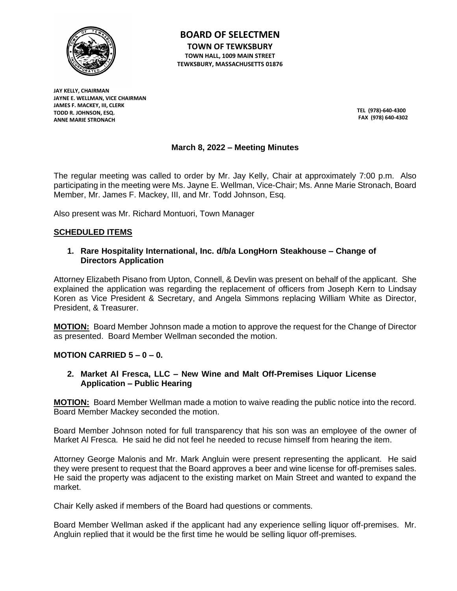

**BOARD OF SELECTMEN TOWN OF TEWKSBURY TOWN HALL, 1009 MAIN STREET TEWKSBURY, MASSACHUSETTS 01876**

**JAY KELLY, CHAIRMAN JAYNE E. WELLMAN, VICE CHAIRMAN JAMES F. MACKEY, III, CLERK TODD R. JOHNSON, ESQ. ANNE MARIE STRONACH**

**TEL (978)-640-4300 FAX (978) 640-4302**

# **March 8, 2022 – Meeting Minutes**

The regular meeting was called to order by Mr. Jay Kelly, Chair at approximately 7:00 p.m. Also participating in the meeting were Ms. Jayne E. Wellman, Vice-Chair; Ms. Anne Marie Stronach, Board Member, Mr. James F. Mackey, III, and Mr. Todd Johnson, Esq.

Also present was Mr. Richard Montuori, Town Manager

## **SCHEDULED ITEMS**

## **1. Rare Hospitality International, Inc. d/b/a LongHorn Steakhouse – Change of Directors Application**

Attorney Elizabeth Pisano from Upton, Connell, & Devlin was present on behalf of the applicant. She explained the application was regarding the replacement of officers from Joseph Kern to Lindsay Koren as Vice President & Secretary, and Angela Simmons replacing William White as Director, President, & Treasurer.

**MOTION:** Board Member Johnson made a motion to approve the request for the Change of Director as presented. Board Member Wellman seconded the motion.

**MOTION CARRIED 5 – 0 – 0.**

## **2. Market Al Fresca, LLC – New Wine and Malt Off-Premises Liquor License Application – Public Hearing**

**MOTION:** Board Member Wellman made a motion to waive reading the public notice into the record. Board Member Mackey seconded the motion.

Board Member Johnson noted for full transparency that his son was an employee of the owner of Market Al Fresca. He said he did not feel he needed to recuse himself from hearing the item.

Attorney George Malonis and Mr. Mark Angluin were present representing the applicant. He said they were present to request that the Board approves a beer and wine license for off-premises sales. He said the property was adjacent to the existing market on Main Street and wanted to expand the market.

Chair Kelly asked if members of the Board had questions or comments.

Board Member Wellman asked if the applicant had any experience selling liquor off-premises. Mr. Angluin replied that it would be the first time he would be selling liquor off-premises.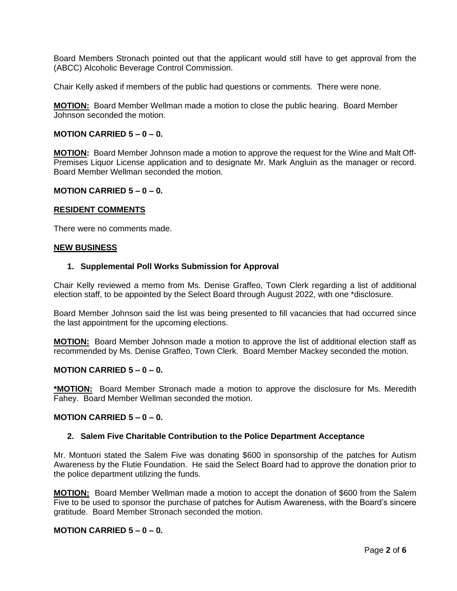Board Members Stronach pointed out that the applicant would still have to get approval from the (ABCC) Alcoholic Beverage Control Commission.

Chair Kelly asked if members of the public had questions or comments. There were none.

**MOTION:** Board Member Wellman made a motion to close the public hearing. Board Member Johnson seconded the motion.

### **MOTION CARRIED 5 – 0 – 0.**

**MOTION:** Board Member Johnson made a motion to approve the request for the Wine and Malt Off-Premises Liquor License application and to designate Mr. Mark Angluin as the manager or record. Board Member Wellman seconded the motion.

### **MOTION CARRIED 5 – 0 – 0.**

#### **RESIDENT COMMENTS**

There were no comments made.

#### **NEW BUSINESS**

#### **1. Supplemental Poll Works Submission for Approval**

Chair Kelly reviewed a memo from Ms. Denise Graffeo, Town Clerk regarding a list of additional election staff, to be appointed by the Select Board through August 2022, with one \*disclosure.

Board Member Johnson said the list was being presented to fill vacancies that had occurred since the last appointment for the upcoming elections.

**MOTION:** Board Member Johnson made a motion to approve the list of additional election staff as recommended by Ms. Denise Graffeo, Town Clerk. Board Member Mackey seconded the motion.

### **MOTION CARRIED 5 – 0 – 0.**

**\*MOTION:** Board Member Stronach made a motion to approve the disclosure for Ms. Meredith Fahey. Board Member Wellman seconded the motion.

#### **MOTION CARRIED 5 – 0 – 0.**

#### **2. Salem Five Charitable Contribution to the Police Department Acceptance**

Mr. Montuori stated the Salem Five was donating \$600 in sponsorship of the patches for Autism Awareness by the Flutie Foundation. He said the Select Board had to approve the donation prior to the police department utilizing the funds.

**MOTION:** Board Member Wellman made a motion to accept the donation of \$600 from the Salem Five to be used to sponsor the purchase of patches for Autism Awareness, with the Board's sincere gratitude. Board Member Stronach seconded the motion.

## **MOTION CARRIED 5 – 0 – 0.**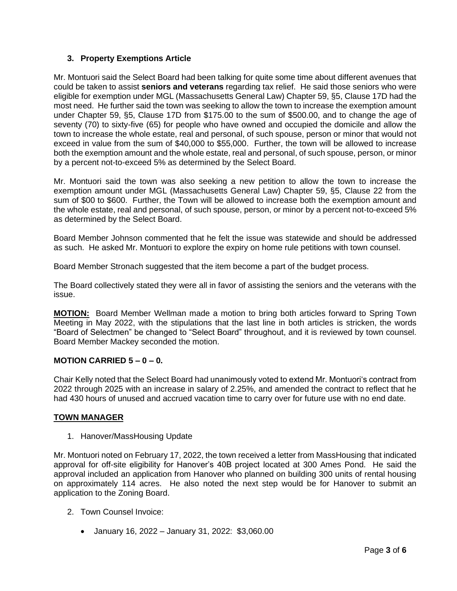# **3. Property Exemptions Article**

Mr. Montuori said the Select Board had been talking for quite some time about different avenues that could be taken to assist **seniors and veterans** regarding tax relief. He said those seniors who were eligible for exemption under MGL (Massachusetts General Law) Chapter 59, §5, Clause 17D had the most need. He further said the town was seeking to allow the town to increase the exemption amount under Chapter 59, §5, Clause 17D from \$175.00 to the sum of \$500.00, and to change the age of seventy (70) to sixty-five (65) for people who have owned and occupied the domicile and allow the town to increase the whole estate, real and personal, of such spouse, person or minor that would not exceed in value from the sum of \$40,000 to \$55,000. Further, the town will be allowed to increase both the exemption amount and the whole estate, real and personal, of such spouse, person, or minor by a percent not-to-exceed 5% as determined by the Select Board.

Mr. Montuori said the town was also seeking a new petition to allow the town to increase the exemption amount under MGL (Massachusetts General Law) Chapter 59, §5, Clause 22 from the sum of \$00 to \$600. Further, the Town will be allowed to increase both the exemption amount and the whole estate, real and personal, of such spouse, person, or minor by a percent not-to-exceed 5% as determined by the Select Board.

Board Member Johnson commented that he felt the issue was statewide and should be addressed as such. He asked Mr. Montuori to explore the expiry on home rule petitions with town counsel.

Board Member Stronach suggested that the item become a part of the budget process.

The Board collectively stated they were all in favor of assisting the seniors and the veterans with the issue.

**MOTION:** Board Member Wellman made a motion to bring both articles forward to Spring Town Meeting in May 2022, with the stipulations that the last line in both articles is stricken, the words "Board of Selectmen" be changed to "Select Board" throughout, and it is reviewed by town counsel. Board Member Mackey seconded the motion.

# **MOTION CARRIED 5 – 0 – 0.**

Chair Kelly noted that the Select Board had unanimously voted to extend Mr. Montuori's contract from 2022 through 2025 with an increase in salary of 2.25%, and amended the contract to reflect that he had 430 hours of unused and accrued vacation time to carry over for future use with no end date.

## **TOWN MANAGER**

1. Hanover/MassHousing Update

Mr. Montuori noted on February 17, 2022, the town received a letter from MassHousing that indicated approval for off-site eligibility for Hanover's 40B project located at 300 Ames Pond. He said the approval included an application from Hanover who planned on building 300 units of rental housing on approximately 114 acres. He also noted the next step would be for Hanover to submit an application to the Zoning Board.

- 2. Town Counsel Invoice:
	- January 16, 2022 January 31, 2022: \$3,060.00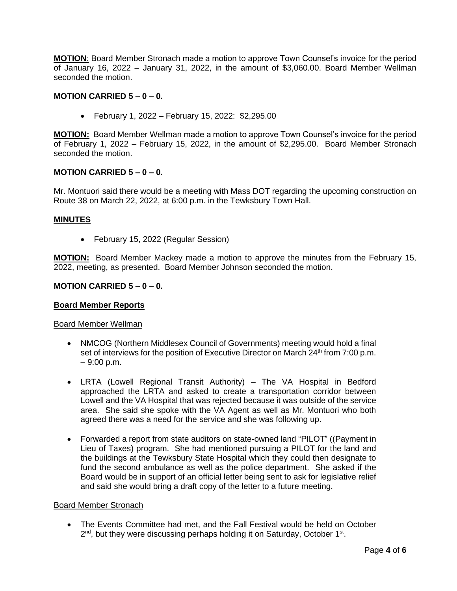**MOTION**: Board Member Stronach made a motion to approve Town Counsel's invoice for the period of January 16, 2022 – January 31, 2022, in the amount of \$3,060.00. Board Member Wellman seconded the motion.

## **MOTION CARRIED**  $5 - 0 - 0$ **.**

• February 1, 2022 – February 15, 2022: \$2,295.00

**MOTION:** Board Member Wellman made a motion to approve Town Counsel's invoice for the period of February 1, 2022 – February 15, 2022, in the amount of \$2,295.00. Board Member Stronach seconded the motion.

## **MOTION CARRIED 5 – 0 – 0.**

Mr. Montuori said there would be a meeting with Mass DOT regarding the upcoming construction on Route 38 on March 22, 2022, at 6:00 p.m. in the Tewksbury Town Hall.

## **MINUTES**

• February 15, 2022 (Regular Session)

**MOTION:** Board Member Mackey made a motion to approve the minutes from the February 15, 2022, meeting, as presented. Board Member Johnson seconded the motion.

## **MOTION CARRIED 5 – 0 – 0.**

## **Board Member Reports**

## Board Member Wellman

- NMCOG (Northern Middlesex Council of Governments) meeting would hold a final set of interviews for the position of Executive Director on March 24<sup>th</sup> from 7:00 p.m. – 9:00 p.m.
- LRTA (Lowell Regional Transit Authority) The VA Hospital in Bedford approached the LRTA and asked to create a transportation corridor between Lowell and the VA Hospital that was rejected because it was outside of the service area. She said she spoke with the VA Agent as well as Mr. Montuori who both agreed there was a need for the service and she was following up.
- Forwarded a report from state auditors on state-owned land "PILOT" ((Payment in Lieu of Taxes) program. She had mentioned pursuing a PILOT for the land and the buildings at the Tewksbury State Hospital which they could then designate to fund the second ambulance as well as the police department. She asked if the Board would be in support of an official letter being sent to ask for legislative relief and said she would bring a draft copy of the letter to a future meeting.

## Board Member Stronach

• The Events Committee had met, and the Fall Festival would be held on October 2<sup>nd</sup>, but they were discussing perhaps holding it on Saturday, October 1<sup>st</sup>.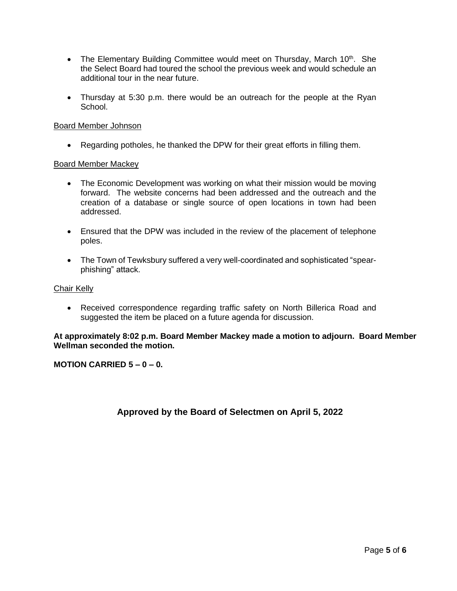- The Elementary Building Committee would meet on Thursday, March 10<sup>th</sup>. She the Select Board had toured the school the previous week and would schedule an additional tour in the near future.
- Thursday at 5:30 p.m. there would be an outreach for the people at the Ryan School.

## Board Member Johnson

• Regarding potholes, he thanked the DPW for their great efforts in filling them.

## Board Member Mackey

- The Economic Development was working on what their mission would be moving forward. The website concerns had been addressed and the outreach and the creation of a database or single source of open locations in town had been addressed.
- Ensured that the DPW was included in the review of the placement of telephone poles.
- The Town of Tewksbury suffered a very well-coordinated and sophisticated "spearphishing" attack.

## Chair Kelly

• Received correspondence regarding traffic safety on North Billerica Road and suggested the item be placed on a future agenda for discussion.

## **At approximately 8:02 p.m. Board Member Mackey made a motion to adjourn. Board Member Wellman seconded the motion.**

## **MOTION CARRIED 5 – 0 – 0.**

# **Approved by the Board of Selectmen on April 5, 2022**